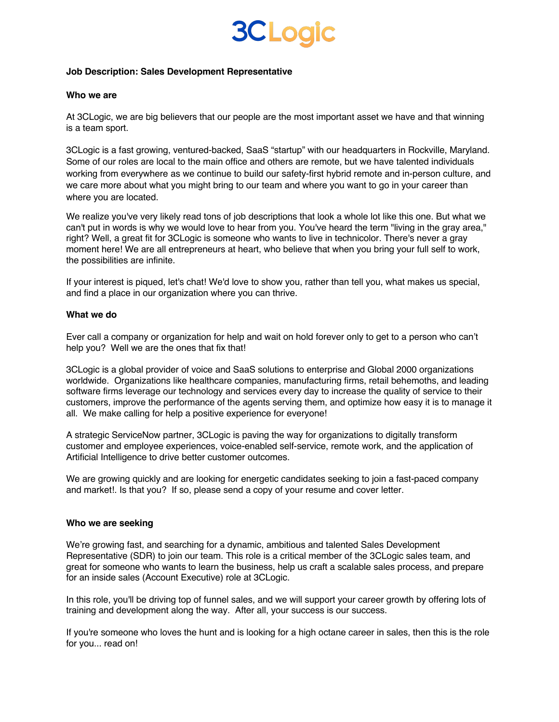## **3CLogic**

#### **Job Description: Sales Development Representative**

#### **Who we are**

At 3CLogic, we are big believers that our people are the most important asset we have and that winning is a team sport.

3CLogic is a fast growing, ventured-backed, SaaS "startup" with our headquarters in Rockville, Maryland. Some of our roles are local to the main office and others are remote, but we have talented individuals working from everywhere as we continue to build our safety-first hybrid remote and in-person culture, and we care more about what you might bring to our team and where you want to go in your career than where you are located.

We realize you've very likely read tons of job descriptions that look a whole lot like this one. But what we can't put in words is why we would love to hear from you. You've heard the term "living in the gray area," right? Well, a great fit for 3CLogic is someone who wants to live in technicolor. There's never a gray moment here! We are all entrepreneurs at heart, who believe that when you bring your full self to work, the possibilities are infinite.

If your interest is piqued, let's chat! We'd love to show you, rather than tell you, what makes us special, and find a place in our organization where you can thrive.

#### **What we do**

Ever call a company or organization for help and wait on hold forever only to get to a person who can't help you? Well we are the ones that fix that!

3CLogic is a global provider of voice and SaaS solutions to enterprise and Global 2000 organizations worldwide. Organizations like healthcare companies, manufacturing firms, retail behemoths, and leading software firms leverage our technology and services every day to increase the quality of service to their customers, improve the performance of the agents serving them, and optimize how easy it is to manage it all. We make calling for help a positive experience for everyone!

A strategic ServiceNow partner, 3CLogic is paving the way for organizations to digitally transform customer and employee experiences, voice-enabled self-service, remote work, and the application of Artificial Intelligence to drive better customer outcomes.

We are growing quickly and are looking for energetic candidates seeking to join a fast-paced company and market!. Is that you? If so, please send a copy of your resume and cover letter.

#### **Who we are seeking**

We're growing fast, and searching for a dynamic, ambitious and talented Sales Development Representative (SDR) to join our team. This role is a critical member of the 3CLogic sales team, and great for someone who wants to learn the business, help us craft a scalable sales process, and prepare for an inside sales (Account Executive) role at 3CLogic.

In this role, you'll be driving top of funnel sales, and we will support your career growth by offering lots of training and development along the way. After all, your success is our success.

If you're someone who loves the hunt and is looking for a high octane career in sales, then this is the role for you... read on!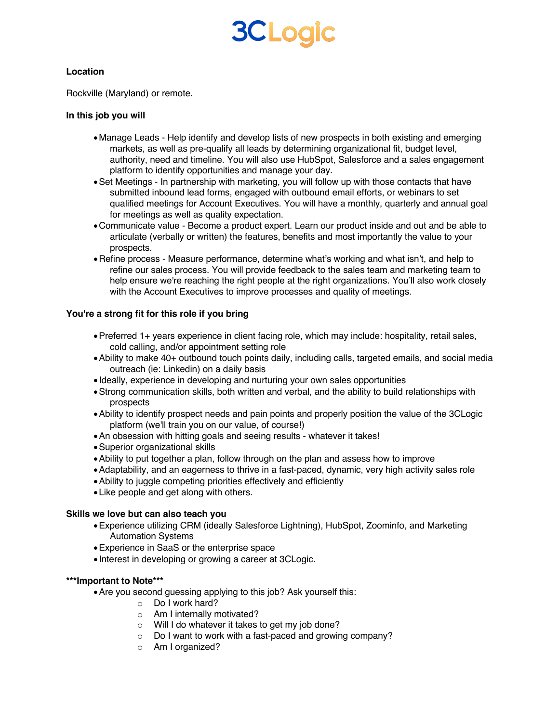# **3CLogic**

#### **Location**

Rockville (Maryland) or remote.

## **In this job you will**

- •Manage Leads Help identify and develop lists of new prospects in both existing and emerging markets, as well as pre-qualify all leads by determining organizational fit, budget level, authority, need and timeline. You will also use HubSpot, Salesforce and a sales engagement platform to identify opportunities and manage your day.
- •Set Meetings In partnership with marketing, you will follow up with those contacts that have submitted inbound lead forms, engaged with outbound email efforts, or webinars to set qualified meetings for Account Executives. You will have a monthly, quarterly and annual goal for meetings as well as quality expectation.
- •Communicate value Become a product expert. Learn our product inside and out and be able to articulate (verbally or written) the features, benefits and most importantly the value to your prospects.
- •Refine process Measure performance, determine what's working and what isn't, and help to refine our sales process. You will provide feedback to the sales team and marketing team to help ensure we're reaching the right people at the right organizations. You'll also work closely with the Account Executives to improve processes and quality of meetings.

## **You're a strong fit for this role if you bring**

- •Preferred 1+ years experience in client facing role, which may include: hospitality, retail sales, cold calling, and/or appointment setting role
- •Ability to make 40+ outbound touch points daily, including calls, targeted emails, and social media outreach (ie: Linkedin) on a daily basis
- Ideally, experience in developing and nurturing your own sales opportunities
- •Strong communication skills, both written and verbal, and the ability to build relationships with prospects
- •Ability to identify prospect needs and pain points and properly position the value of the 3CLogic platform (we'll train you on our value, of course!)
- •An obsession with hitting goals and seeing results whatever it takes!
- •Superior organizational skills
- •Ability to put together a plan, follow through on the plan and assess how to improve
- •Adaptability, and an eagerness to thrive in a fast-paced, dynamic, very high activity sales role
- •Ability to juggle competing priorities effectively and efficiently
- •Like people and get along with others.

## **Skills we love but can also teach you**

- •Experience utilizing CRM (ideally Salesforce Lightning), HubSpot, Zoominfo, and Marketing Automation Systems
- •Experience in SaaS or the enterprise space
- Interest in developing or growing a career at 3CLogic.

#### **\*\*\*Important to Note\*\*\***

- •Are you second guessing applying to this job? Ask yourself this:
	- o Do I work hard?
	- o Am I internally motivated?
	- o Will I do whatever it takes to get my job done?
	- o Do I want to work with a fast-paced and growing company?
	- o Am I organized?